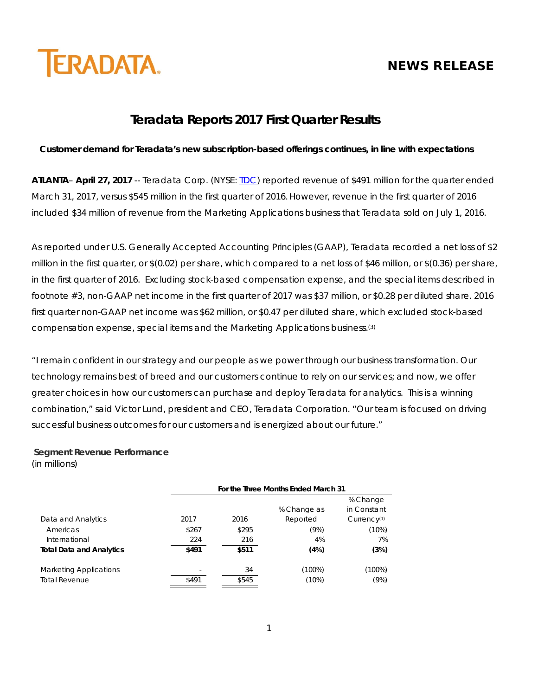# **NEWS RELEASE**



## **Teradata Reports 2017 First Quarter Results**

#### **Customer demand for Teradata's new subscription-based offerings continues, in line with expectations**

**ATLANTA**– **April 27, 2017** -- Teradata Corp. (NYSE: [TDC\)](http://investor.teradata.com/about-teradata/default.aspx) reported revenue of \$491 million for the quarter ended March 31, 2017, versus \$545 million in the first quarter of 2016. However, revenue in the first quarter of 2016 included \$34 million of revenue from the Marketing Applications business that Teradata sold on July 1, 2016.

As reported under U.S. Generally Accepted Accounting Principles (GAAP), Teradata recorded a net loss of \$2 million in the first quarter, or \$(0.02) per share, which compared to a net loss of \$46 million, or \$(0.36) per share, in the first quarter of 2016. Excluding stock-based compensation expense, and the special items described in footnote #3, non-GAAP net income in the first quarter of 2017 was \$37 million, or \$0.28 per diluted share. 2016 first quarter non-GAAP net income was \$62 million, or \$0.47 per diluted share, which excluded stock-based compensation expense, special items and the Marketing Applications business.(3)

"I remain confident in our strategy and our people as we power through our business transformation. Our technology remains best of breed and our customers continue to rely on our services; and now, we offer greater choices in how our customers can purchase and deploy Teradata for analytics. This is a winning combination," said Victor Lund, president and CEO, Teradata Corporation. "Our team is focused on driving successful business outcomes for our customers and is energized about our future."

#### **Segment Revenue Performance** (in millions)

|                                 | For the Three Months Ended March 31 |       |             |             |  |  |  |  |
|---------------------------------|-------------------------------------|-------|-------------|-------------|--|--|--|--|
|                                 |                                     |       |             | % Change    |  |  |  |  |
|                                 |                                     |       | % Change as | in Constant |  |  |  |  |
| Data and Analytics              | 2017                                | 2016  | Reported    | Currence(1) |  |  |  |  |
| Americas                        | \$267                               | \$295 | (9%)        | (10%)       |  |  |  |  |
| International                   | 224                                 | 216   | 4%          | 7%          |  |  |  |  |
| <b>Total Data and Analytics</b> | \$491                               | \$511 | (4%)        | (3%)        |  |  |  |  |
| <b>Marketing Applications</b>   |                                     | 34    | (100%)      | (100%)      |  |  |  |  |
| <b>Total Revenue</b>            | \$491                               | \$545 | $(10\%)$    | (9%)        |  |  |  |  |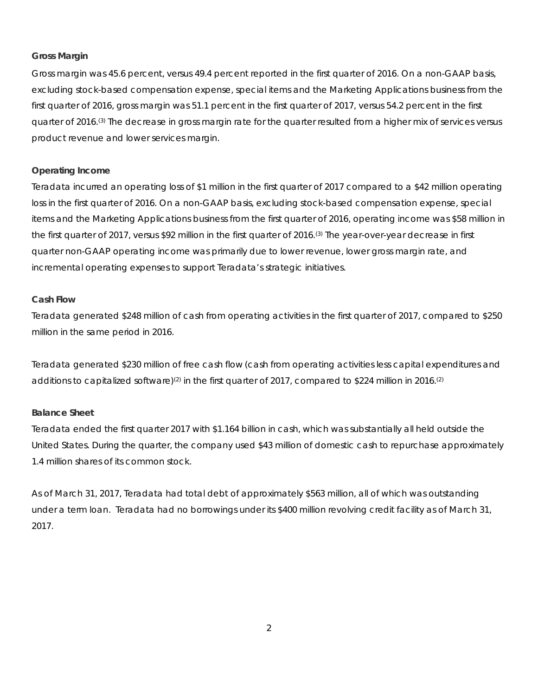#### **Gross Margin**

Gross margin was 45.6 percent, versus 49.4 percent reported in the first quarter of 2016. On a non-GAAP basis, excluding stock-based compensation expense, special items and the Marketing Applications business from the first quarter of 2016, gross margin was 51.1 percent in the first quarter of 2017, versus 54.2 percent in the first quarter of 2016.(3) The decrease in gross margin rate for the quarter resulted from a higher mix of services versus product revenue and lower services margin.

#### **Operating Income**

Teradata incurred an operating loss of \$1 million in the first quarter of 2017 compared to a \$42 million operating loss in the first quarter of 2016. On a non-GAAP basis, excluding stock-based compensation expense, special items and the Marketing Applications business from the first quarter of 2016, operating income was \$58 million in the first quarter of 2017, versus \$92 million in the first quarter of 2016.(3) The year-over-year decrease in first quarter non-GAAP operating income was primarily due to lower revenue, lower gross margin rate, and incremental operating expenses to support Teradata's strategic initiatives.

#### **Cash Flow**

Teradata generated \$248 million of cash from operating activities in the first quarter of 2017, compared to \$250 million in the same period in 2016.

Teradata generated \$230 million of free cash flow (cash from operating activities less capital expenditures and additions to capitalized software)<sup>(2)</sup> in the first quarter of 2017, compared to \$224 million in 2016.<sup>(2)</sup>

#### **Balance Sheet**

Teradata ended the first quarter 2017 with \$1.164 billion in cash, which was substantially all held outside the United States. During the quarter, the company used \$43 million of domestic cash to repurchase approximately 1.4 million shares of its common stock.

As of March 31, 2017, Teradata had total debt of approximately \$563 million, all of which was outstanding under a term loan. Teradata had no borrowings under its \$400 million revolving credit facility as of March 31, 2017.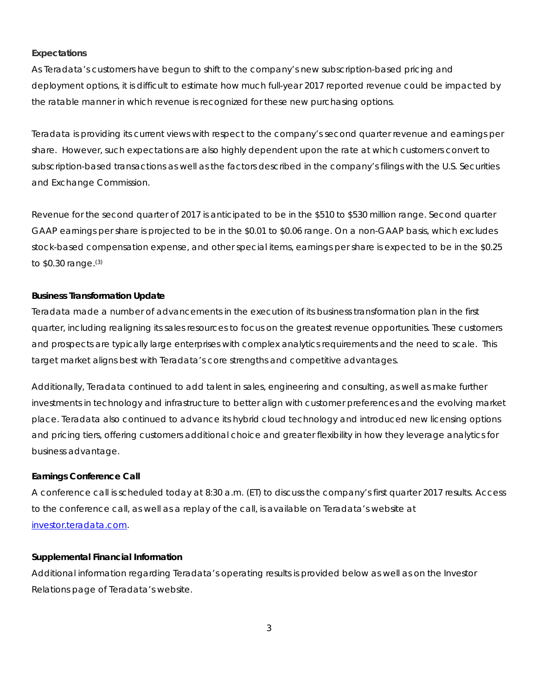#### **Expectations**

As Teradata's customers have begun to shift to the company's new subscription-based pricing and deployment options, it is difficult to estimate how much full-year 2017 reported revenue could be impacted by the ratable manner in which revenue is recognized for these new purchasing options.

Teradata is providing its current views with respect to the company's second quarter revenue and earnings per share. However, such expectations are also highly dependent upon the rate at which customers convert to subscription-based transactions as well as the factors described in the company's filings with the U.S. Securities and Exchange Commission.

Revenue for the second quarter of 2017 is anticipated to be in the \$510 to \$530 million range. Second quarter GAAP earnings per share is projected to be in the \$0.01 to \$0.06 range. On a non-GAAP basis, which excludes stock-based compensation expense, and other special items, earnings per share is expected to be in the \$0.25 to \$0.30 range.(3)

#### **Business Transformation Update**

Teradata made a number of advancements in the execution of its business transformation plan in the first quarter, including realigning its sales resources to focus on the greatest revenue opportunities. These customers and prospects are typically large enterprises with complex analytics requirements and the need to scale. This target market aligns best with Teradata's core strengths and competitive advantages.

Additionally, Teradata continued to add talent in sales, engineering and consulting, as well as make further investments in technology and infrastructure to better align with customer preferences and the evolving market place. Teradata also continued to advance its hybrid cloud technology and introduced new licensing options and pricing tiers, offering customers additional choice and greater flexibility in how they leverage analytics for business advantage.

#### **Earnings Conference Call**

A conference call is scheduled today at 8:30 a.m. (ET) to discuss the company's first quarter 2017 results. Access to the conference call, as well as a replay of the call, is available on Teradata's website at [investor.teradata.com.](http://investor.teradata.com/about-teradata/default.aspx#top)

#### **Supplemental Financial Information**

Additional information regarding Teradata's operating results is provided below as well as on the Investor Relations page of Teradata's website.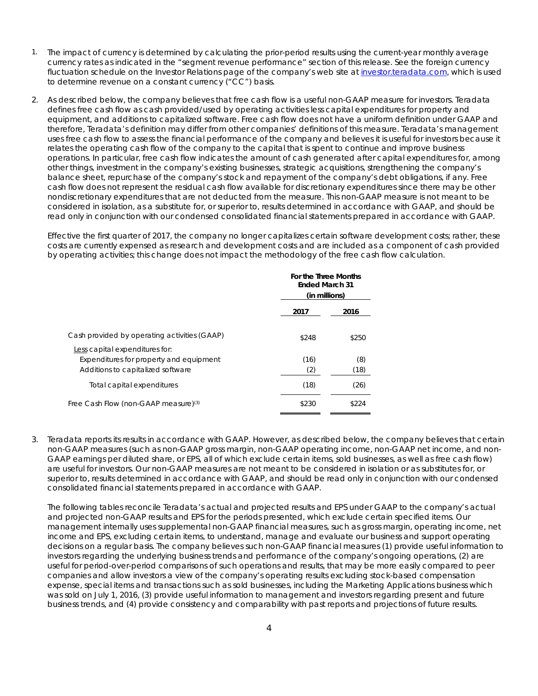- 1. The impact of currency is determined by calculating the prior-period results using the current-year monthly average currency rates as indicated in the "segment revenue performance" section of this release. See the foreign currency fluctuation schedule on the Investor Relations page of the company's web site at [investor.teradata.com,](http://investor.teradata.com/about-teradata/default.aspx#top) which is used to determine revenue on a constant currency ("CC") basis.
- 2. As described below, the company believes that free cash flow is a useful non-GAAP measure for investors. Teradata defines free cash flow as cash provided/used by operating activities less capital expenditures for property and equipment, and additions to capitalized software. Free cash flow does not have a uniform definition under GAAP and therefore, Teradata's definition may differ from other companies' definitions of this measure. Teradata's management uses free cash flow to assess the financial performance of the company and believes it is useful for investors because it relates the operating cash flow of the company to the capital that is spent to continue and improve business operations. In particular, free cash flow indicates the amount of cash generated after capital expenditures for, among other things, investment in the company's existing businesses, strategic acquisitions, strengthening the company's balance sheet, repurchase of the company's stock and repayment of the company's debt obligations, if any. Free cash flow does not represent the residual cash flow available for discretionary expenditures since there may be other nondiscretionary expenditures that are not deducted from the measure. This non-GAAP measure is not meant to be considered in isolation, as a substitute for, or superior to, results determined in accordance with GAAP, and should be read only in conjunction with our condensed consolidated financial statements prepared in accordance with GAAP.

Effective the first quarter of 2017, the company no longer capitalizes certain software development costs; rather, these costs are currently expensed as research and development costs and are included as a component of cash provided by operating activities; this change does not impact the methodology of the free cash flow calculation.

|                                                                                                                | For the Three Months<br><b>Ended March 31</b><br>(in millions) |             |  |
|----------------------------------------------------------------------------------------------------------------|----------------------------------------------------------------|-------------|--|
|                                                                                                                | 2017                                                           | 2016        |  |
| Cash provided by operating activities (GAAP)                                                                   | \$248                                                          | \$250       |  |
| Less capital expenditures for:<br>Expenditures for property and equipment<br>Additions to capitalized software | (16)<br>(2)                                                    | (8)<br>(18) |  |
| Total capital expenditures                                                                                     | (18)                                                           | (26)        |  |
| Free Cash Flow (non-GAAP measure) <sup>(3)</sup>                                                               | \$230                                                          | \$224       |  |

3. Teradata reports its results in accordance with GAAP. However, as described below, the company believes that certain non-GAAP measures (such as non-GAAP gross margin, non-GAAP operating income, non-GAAP net income, and non-GAAP earnings per diluted share, or EPS, all of which exclude certain items, sold businesses, as well as free cash flow) are useful for investors. Our non-GAAP measures are not meant to be considered in isolation or as substitutes for, or superior to, results determined in accordance with GAAP, and should be read only in conjunction with our condensed consolidated financial statements prepared in accordance with GAAP.

The following tables reconcile Teradata's actual and projected results and EPS under GAAP to the company's actual and projected non-GAAP results and EPS for the periods presented, which exclude certain specified items. Our management internally uses supplemental non-GAAP financial measures, such as gross margin, operating income, net income and EPS, excluding certain items, to understand, manage and evaluate our business and support operating decisions on a regular basis. The company believes such non-GAAP financial measures (1) provide useful information to investors regarding the underlying business trends and performance of the company's ongoing operations, (2) are useful for period-over-period comparisons of such operations and results, that may be more easily compared to peer companies and allow investors a view of the company's operating results excluding stock-based compensation expense, special items and transactions such as sold businesses, including the Marketing Applications business which was sold on July 1, 2016, (3) provide useful information to management and investors regarding present and future business trends, and (4) provide consistency and comparability with past reports and projections of future results.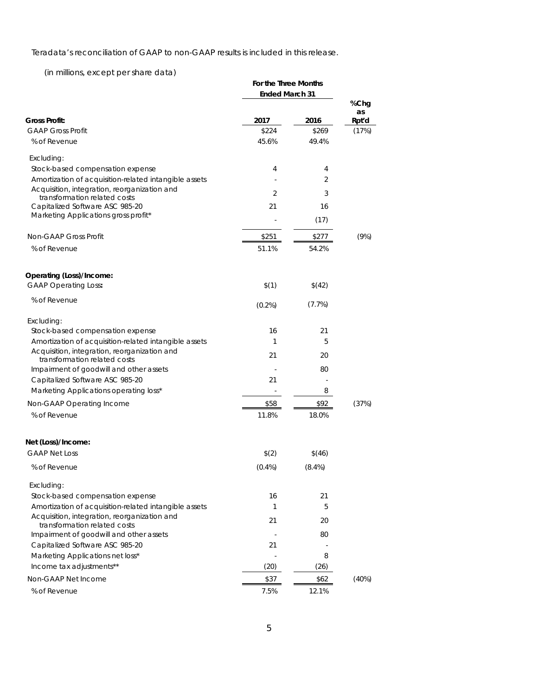Teradata's reconciliation of GAAP to non-GAAP results is included in this release.

(in millions, except per share data)

|                                                                              | For the Three Months  |           |             |
|------------------------------------------------------------------------------|-----------------------|-----------|-------------|
|                                                                              | <b>Ended March 31</b> |           |             |
|                                                                              |                       |           | %Chg        |
| <b>Gross Profit:</b>                                                         | 2017                  | 2016      | as<br>Rpt'd |
| <b>GAAP Gross Profit</b>                                                     | \$224                 | \$269     | (17%)       |
| % of Revenue                                                                 | 45.6%                 | 49.4%     |             |
| Excluding:                                                                   |                       |           |             |
| Stock-based compensation expense                                             | 4                     | 4         |             |
| Amortization of acquisition-related intangible assets                        |                       | 2         |             |
| Acquisition, integration, reorganization and                                 | 2                     | 3         |             |
| transformation related costs<br>Capitalized Software ASC 985-20              | 21                    | 16        |             |
| Marketing Applications gross profit*                                         |                       |           |             |
|                                                                              |                       | (17)      |             |
| Non-GAAP Gross Profit                                                        | \$251                 | \$277     | (9%)        |
| % of Revenue                                                                 | 51.1%                 | 54.2%     |             |
| Operating (Loss)/Income:                                                     |                       |           |             |
| <b>GAAP Operating Loss:</b>                                                  | \$(1)                 | \$(42)    |             |
|                                                                              |                       |           |             |
| % of Revenue                                                                 | $(0.2\%)$             | (7.7%)    |             |
| Excluding:                                                                   |                       |           |             |
| Stock-based compensation expense                                             | 16                    | 21        |             |
| Amortization of acquisition-related intangible assets                        | 1                     | 5         |             |
| Acquisition, integration, reorganization and<br>transformation related costs | 21                    | 20        |             |
| Impairment of goodwill and other assets                                      |                       | 80        |             |
| Capitalized Software ASC 985-20                                              | 21                    |           |             |
| Marketing Applications operating loss*                                       |                       | 8         |             |
| Non-GAAP Operating Income                                                    | \$58                  | \$92      | (37%)       |
| % of Revenue                                                                 | 11.8%                 | 18.0%     |             |
| Net (Loss)/Income:                                                           |                       |           |             |
| <b>GAAP Net Loss</b>                                                         | \$(2)                 | \$(46)    |             |
| % of Revenue                                                                 | $(0.4\%)$             | $(8.4\%)$ |             |
| Excluding:                                                                   |                       |           |             |
| Stock-based compensation expense                                             | 16                    | 21        |             |
| Amortization of acquisition-related intangible assets                        | 1                     | 5         |             |
| Acquisition, integration, reorganization and<br>transformation related costs | 21                    | 20        |             |
| Impairment of goodwill and other assets                                      |                       | 80        |             |
| Capitalized Software ASC 985-20                                              | 21                    |           |             |
| Marketing Applications net loss*                                             |                       | 8         |             |
| Income tax adjustments**                                                     | (20)                  | (26)      |             |
| Non-GAAP Net Income                                                          | \$37                  | \$62      | (40%)       |
| % of Revenue                                                                 | 7.5%                  | 12.1%     |             |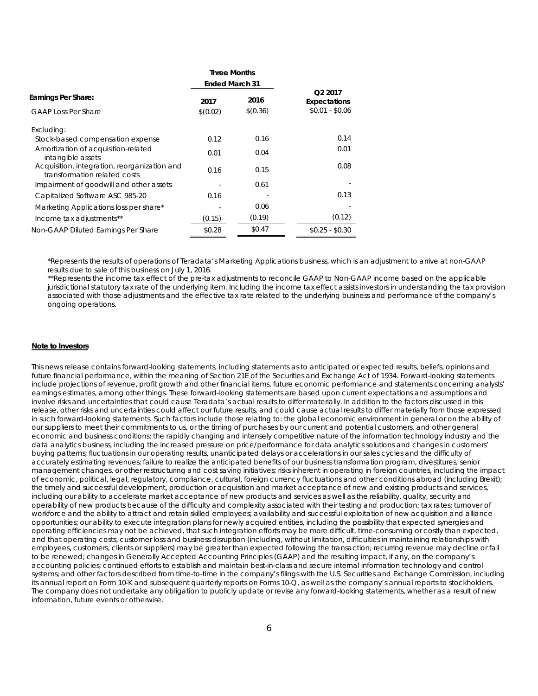|                                                                              | <b>Three Months</b>   |          |                                     |  |  |
|------------------------------------------------------------------------------|-----------------------|----------|-------------------------------------|--|--|
|                                                                              | <b>Ended March 31</b> |          |                                     |  |  |
| Earnings Per Share:                                                          | 2017                  | 2016     | Q <sub>2</sub> 2017<br>Expectations |  |  |
| <b>GAAP Loss Per Share</b>                                                   | \$(0.02)              | \$(0.36) | $$0.01 - $0.06$                     |  |  |
| Excluding:                                                                   |                       |          |                                     |  |  |
| Stock-based compensation expense                                             | 0.12                  | 0.16     | 0.14                                |  |  |
| Amortization of acquisition-related<br>intangible assets                     | 0.01                  | 0.04     | 0.01                                |  |  |
| Acquisition, integration, reorganization and<br>transformation related costs | 0.16                  | 0.15     | 0.08                                |  |  |
| Impairment of goodwill and other assets                                      |                       | 0.61     |                                     |  |  |
| Capitalized Software ASC 985-20                                              | 0.16                  |          | 0.13                                |  |  |
| Marketing Applications loss per share*                                       |                       | 0.06     |                                     |  |  |
| Income tax adjustments**                                                     | (0.15)                | (0.19)   | (0.12)                              |  |  |
| Non-GAAP Diluted Earnings Per Share                                          | \$0.28                | \$0.47   | $$0.25 - $0.30$                     |  |  |

\*Represents the results of operations of Teradata's Marketing Applications business, which is an adjustment to arrive at non-GAAP results due to sale of this business on July 1, 2016.

\*\*Represents the income tax effect of the pre-tax adjustments to reconcile GAAP to Non-GAAP income based on the applicable jurisdictional statutory tax rate of the underlying item. Including the income tax effect assists investors in understanding the tax provision associated with those adjustments and the effective tax rate related to the underlying business and performance of the company's ongoing operations.

#### **Note to Investors**

This news release contains forward-looking statements, including statements as to anticipated or expected results, beliefs, opinions and future financial performance, within the meaning of Section 21E of the Securities and Exchange Act of 1934. Forward-looking statements include projections of revenue, profit growth and other financial items, future economic performance and statements concerning analysts' earnings estimates, among other things. These forward-looking statements are based upon current expectations and assumptions and involve risks and uncertainties that could cause Teradata's actual results to differ materially. In addition to the factors discussed in this release, other risks and uncertainties could affect our future results, and could cause actual results to differ materially from those expressed in such forward-looking statements. Such factors include those relating to: the global economic environment in general or on the ability of our suppliers to meet their commitments to us, or the timing of purchases by our current and potential customers, and other general economic and business conditions; the rapidly changing and intensely competitive nature of the information technology industry and the data analytics business, including the increased pressure on price/performance for data analytics solutions and changes in customers' buying patterns; fluctuations in our operating results, unanticipated delays or accelerations in our sales cycles and the difficulty of accurately estimating revenues; failure to realize the anticipated benefits of our business transformation program, divestitures, senior management changes, or other restructuring and cost saving initiatives; risks inherent in operating in foreign countries, including the impact of economic, political, legal, regulatory, compliance, cultural, foreign currency fluctuations and other conditions abroad (including Brexit); the timely and successful development, production or acquisition and market acceptance of new and existing products and services, including our ability to accelerate market acceptance of new products and services as well as the reliability, quality, security and operability of new products because of the difficulty and complexity associated with their testing and production; tax rates; turnover of workforce and the ability to attract and retain skilled employees; availability and successful exploitation of new acquisition and alliance opportunities; our ability to execute integration plans for newly acquired entities, including the possibility that expected synergies and operating efficiencies may not be achieved, that such integration efforts may be more difficult, time-consuming or costly than expected, and that operating costs, customer loss and business disruption (including, without limitation, difficulties in maintaining relationships with employees, customers, clients or suppliers) may be greater than expected following the transaction; recurring revenue may decline or fail to be renewed; changes in Generally Accepted Accounting Principles (GAAP) and the resulting impact, if any, on the company's accounting policies; continued efforts to establish and maintain best-in-class and secure internal information technology and control systems; and other factors described from time-to-time in the company's filings with the U.S. Securities and Exchange Commission, including its annual report on Form 10-K and subsequent quarterly reports on Forms 10-Q, as well as the company's annual reports to stockholders. The company does not undertake any obligation to publicly update or revise any forward-looking statements, whether as a result of new information, future events or otherwise.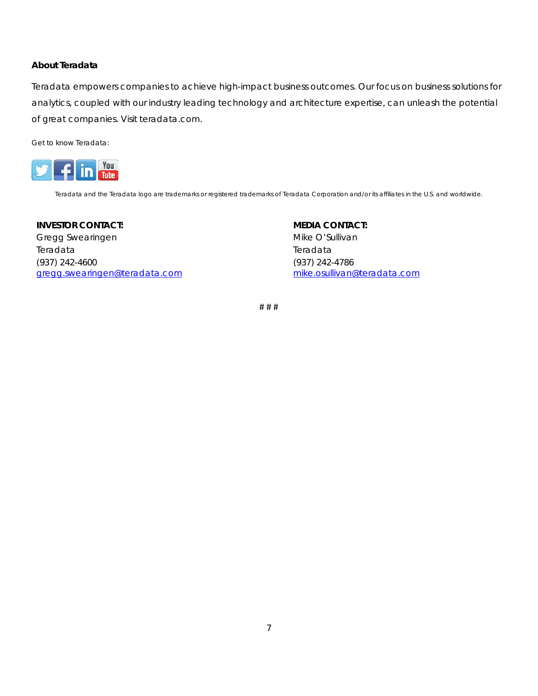#### *About Teradata*

Teradata empowers companies to achieve high-impact business outcomes. Our focus on business solutions for analytics, coupled with our industry leading technology and architecture expertise, can unleash the potential of great companies. Visit teradata.com.

Get to know Teradata:



Teradata and the Teradata logo are trademarks or registered trademarks of Teradata Corporation and/or its affiliates in the U.S. and worldwide.

**INVESTOR CONTACT:**  Gregg Swearingen Teradata (937) 242-4600 [gregg.swearingen@teradata.com](mailto:gregg.swearingen@teradata.com) **MEDIA CONTACT:**  Mike O'Sullivan Teradata (937) 242-4786 [mike.osullivan@teradata.com](mailto:mike.osullivan@teradata.com)

# # #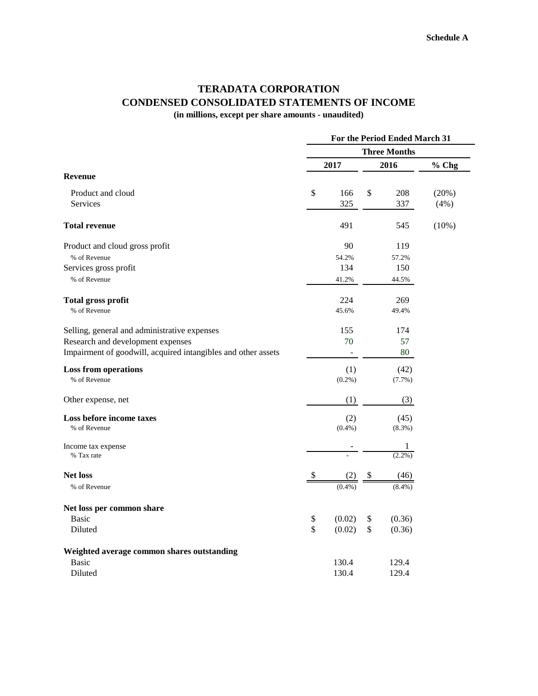# **TERADATA CORPORATION CONDENSED CONSOLIDATED STATEMENTS OF INCOME**

**(in millions, except per share amounts - unaudited)**

|                                                               | For the Period Ended March 31 |           |    |           |       |
|---------------------------------------------------------------|-------------------------------|-----------|----|-----------|-------|
|                                                               | <b>Three Months</b>           |           |    |           |       |
|                                                               |                               | 2017      |    | 2016      | % Chg |
| <b>Revenue</b>                                                |                               |           |    |           |       |
| Product and cloud                                             | \$                            | 166       | \$ | 208       | (20%) |
| Services                                                      |                               | 325       |    | 337       | (4%)  |
| <b>Total revenue</b>                                          |                               | 491       |    | 545       | (10%) |
| Product and cloud gross profit                                |                               | 90        |    | 119       |       |
| % of Revenue                                                  |                               | 54.2%     |    | 57.2%     |       |
| Services gross profit                                         |                               | 134       |    | 150       |       |
| % of Revenue                                                  |                               | 41.2%     |    | 44.5%     |       |
| <b>Total gross profit</b>                                     |                               | 224       |    | 269       |       |
| % of Revenue                                                  |                               | 45.6%     |    | 49.4%     |       |
| Selling, general and administrative expenses                  |                               | 155       |    | 174       |       |
| Research and development expenses                             |                               | 70        |    | 57        |       |
| Impairment of goodwill, acquired intangibles and other assets |                               | ÷,        |    | 80        |       |
| <b>Loss from operations</b>                                   |                               | (1)       |    | (42)      |       |
| % of Revenue                                                  |                               | $(0.2\%)$ |    | $(7.7\%)$ |       |
| Other expense, net                                            |                               | (1)       |    | (3)       |       |
| Loss before income taxes                                      |                               | (2)       |    | (45)      |       |
| % of Revenue                                                  |                               | $(0.4\%)$ |    | $(8.3\%)$ |       |
| Income tax expense                                            |                               |           |    | 1         |       |
| % Tax rate                                                    |                               |           |    | $(2.2\%)$ |       |
| <b>Net loss</b>                                               | P                             |           |    | (46)      |       |
| % of Revenue                                                  |                               | $(0.4\%)$ |    | $(8.4\%)$ |       |
| Net loss per common share                                     |                               |           |    |           |       |
| <b>Basic</b>                                                  | \$                            | (0.02)    | \$ | (0.36)    |       |
| Diluted                                                       | \$                            | (0.02)    | \$ | (0.36)    |       |
| Weighted average common shares outstanding                    |                               |           |    |           |       |
| <b>Basic</b>                                                  |                               | 130.4     |    | 129.4     |       |
| Diluted                                                       |                               | 130.4     |    | 129.4     |       |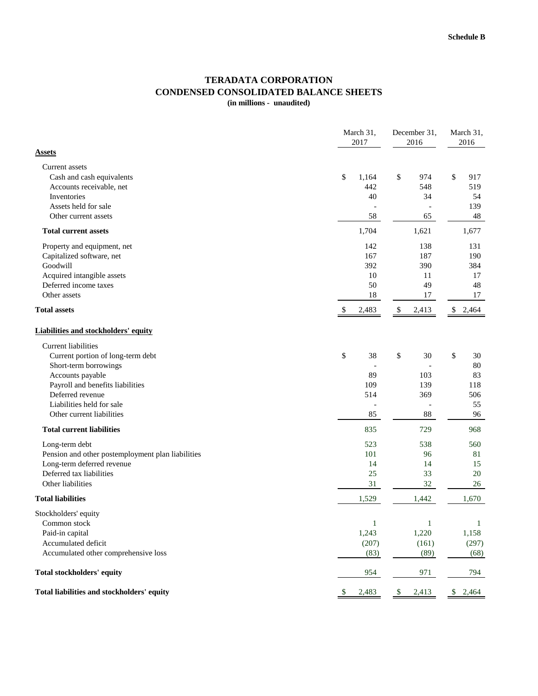#### **TERADATA CORPORATION CONDENSED CONSOLIDATED BALANCE SHEETS (in millions - unaudited)**

|                                                   | March 31,<br>2017 |      | December 31,<br>2016 |    | March 31,<br>2016 |  |
|---------------------------------------------------|-------------------|------|----------------------|----|-------------------|--|
| <u>Assets</u>                                     |                   |      |                      |    |                   |  |
| Current assets                                    |                   |      |                      |    |                   |  |
| Cash and cash equivalents                         | \$<br>1,164       | \$   | 974                  | \$ | 917               |  |
| Accounts receivable, net                          | 442               |      | 548                  |    | 519               |  |
| Inventories                                       | 40                |      | 34                   |    | 54                |  |
| Assets held for sale                              |                   |      |                      |    | 139               |  |
| Other current assets                              | 58                |      | 65                   |    | 48                |  |
| <b>Total current assets</b>                       | 1,704             |      | 1,621                |    | 1,677             |  |
| Property and equipment, net                       | 142               |      | 138                  |    | 131               |  |
| Capitalized software, net                         | 167               |      | 187                  |    | 190               |  |
| Goodwill                                          | 392               |      | 390                  |    | 384               |  |
| Acquired intangible assets                        | 10                |      | 11                   |    | 17                |  |
| Deferred income taxes                             | 50                |      | 49                   |    | 48                |  |
| Other assets                                      | 18                |      | 17                   |    | 17                |  |
| <b>Total assets</b>                               | \$<br>2,483       | \$   | 2,413                | \$ | 2,464             |  |
| Liabilities and stockholders' equity              |                   |      |                      |    |                   |  |
| <b>Current liabilities</b>                        |                   |      |                      |    |                   |  |
| Current portion of long-term debt                 | \$<br>38          | $\$$ | 30                   | \$ | 30                |  |
| Short-term borrowings                             |                   |      |                      |    | $80\,$            |  |
| Accounts payable                                  | 89                |      | 103                  |    | 83                |  |
| Payroll and benefits liabilities                  | 109               |      | 139                  |    | 118               |  |
| Deferred revenue                                  | 514               |      | 369                  |    | 506               |  |
| Liabilities held for sale                         |                   |      |                      |    | 55                |  |
| Other current liabilities                         | 85                |      | 88                   |    | 96                |  |
| <b>Total current liabilities</b>                  | 835               |      | 729                  |    | 968               |  |
| Long-term debt                                    | 523               |      | 538                  |    | 560               |  |
| Pension and other postemployment plan liabilities | 101               |      | 96                   |    | 81                |  |
| Long-term deferred revenue                        | 14                |      | 14                   |    | 15                |  |
| Deferred tax liabilities                          | 25                |      | 33                   |    | 20                |  |
| Other liabilities                                 | 31                |      | 32                   |    | 26                |  |
| <b>Total liabilities</b>                          | 1,529             |      | 1,442                |    | 1,670             |  |
| Stockholders' equity                              |                   |      |                      |    |                   |  |
| Common stock                                      | $\,1\,$           |      | $\,1$                |    | $\mathbf{1}$      |  |
| Paid-in capital                                   | 1,243             |      | 1,220                |    | 1,158             |  |
| Accumulated deficit                               | (207)             |      | (161)                |    | (297)             |  |
| Accumulated other comprehensive loss              | (83)              |      | (89)                 |    | (68)              |  |
| Total stockholders' equity                        | 954               |      | 971                  |    | 794               |  |
| Total liabilities and stockholders' equity        | \$<br>2,483       | \$   | 2,413                | \$ | 2,464             |  |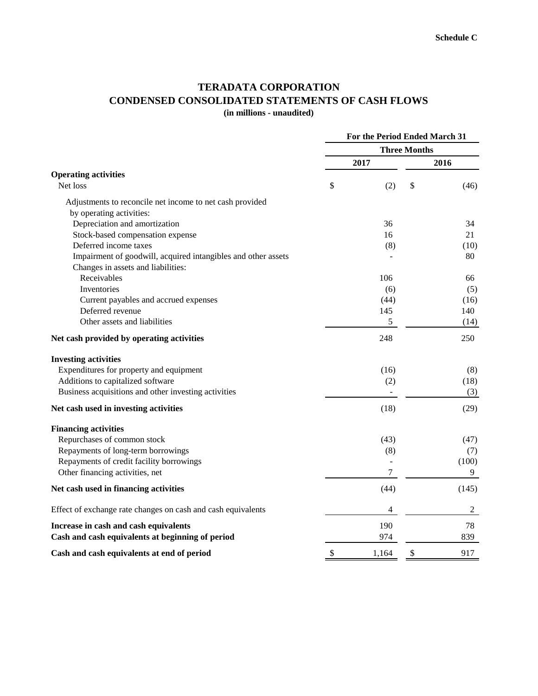#### **TERADATA CORPORATION CONDENSED CONSOLIDATED STATEMENTS OF CASH FLOWS (in millions - unaudited)**

**Three Months 2017 2016 Operating activities** Net loss (2)  $\frac{1}{3}$  (2)  $\frac{1}{3}$  (46) Adjustments to reconcile net income to net cash provided by operating activities: Depreciation and amortization 36 34 Stock-based compensation expense 16 21 Deferred income taxes (8) (10) Impairment of goodwill, acquired intangibles and other assets **1996** - 80 Changes in assets and liabilities: Receivables 66 66 Inventories  $(6)$  (5) Current payables and accrued expenses (44) (16) Deferred revenue 145 140 Other assets and liabilities 5 (14) **Net cash provided by operating activities** 248 250 **Investing activities** Expenditures for property and equipment (16) (8) Additions to capitalized software (2) (18) Business acquisitions and other investing activities and  $(3)$ **Net cash used in investing activities** (18) (29) **Financing activities** Repurchases of common stock (43) (47) Repayments of long-term borrowings (8) (7) Repayments of credit facility borrowings - (100) Other financing activities, net 7 9 Net cash used in financing activities (145) (145) Effect of exchange rate changes on cash and cash equivalents 4 2 **Increase in cash and cash equivalents** 190 78 **Cash and cash equivalents at beginning of period** 974 974 839 **Cash and cash equivalents at end of period**  $\qquad$  \$ 1,164 \$ 917 **For the Period Ended March 31**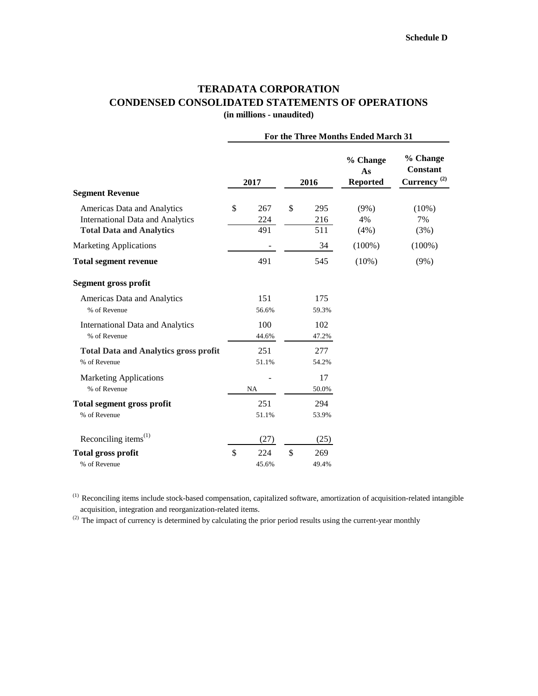### **TERADATA CORPORATION CONDENSED CONSOLIDATED STATEMENTS OF OPERATIONS (in millions - unaudited)**

|                                                                            | For the Three Months Ended March 31 |            |    |            |                                   |                                                   |  |  |
|----------------------------------------------------------------------------|-------------------------------------|------------|----|------------|-----------------------------------|---------------------------------------------------|--|--|
|                                                                            |                                     | 2017       |    | 2016       | % Change<br>As<br><b>Reported</b> | % Change<br>Constant<br>$Currency$ <sup>(2)</sup> |  |  |
| <b>Segment Revenue</b>                                                     |                                     |            |    |            |                                   |                                                   |  |  |
| Americas Data and Analytics                                                | \$                                  | 267        | \$ | 295        | $(9\%)$                           | $(10\%)$                                          |  |  |
| <b>International Data and Analytics</b><br><b>Total Data and Analytics</b> |                                     | 224<br>491 |    | 216<br>511 | 4%<br>(4%)                        | 7%<br>(3%)                                        |  |  |
| <b>Marketing Applications</b>                                              |                                     |            |    | 34         | $(100\%)$                         | $(100\%)$                                         |  |  |
| <b>Total segment revenue</b>                                               |                                     | 491        |    | 545        | $(10\%)$                          | $(9\%)$                                           |  |  |
| <b>Segment gross profit</b>                                                |                                     |            |    |            |                                   |                                                   |  |  |
| Americas Data and Analytics                                                |                                     | 151        |    | 175        |                                   |                                                   |  |  |
| % of Revenue                                                               |                                     | 56.6%      |    | 59.3%      |                                   |                                                   |  |  |
| <b>International Data and Analytics</b>                                    |                                     | 100        |    | 102        |                                   |                                                   |  |  |
| % of Revenue                                                               |                                     | 44.6%      |    | 47.2%      |                                   |                                                   |  |  |
| <b>Total Data and Analytics gross profit</b>                               |                                     | 251        |    | 277        |                                   |                                                   |  |  |
| % of Revenue                                                               |                                     | 51.1%      |    | 54.2%      |                                   |                                                   |  |  |
| <b>Marketing Applications</b>                                              |                                     |            |    | 17         |                                   |                                                   |  |  |
| % of Revenue                                                               |                                     | NA         |    | 50.0%      |                                   |                                                   |  |  |
| <b>Total segment gross profit</b>                                          |                                     | 251        |    | 294        |                                   |                                                   |  |  |
| % of Revenue                                                               |                                     | 51.1%      |    | 53.9%      |                                   |                                                   |  |  |
| Reconciling items $(1)$                                                    |                                     | (27)       |    | (25)       |                                   |                                                   |  |  |
| <b>Total gross profit</b>                                                  | \$                                  | 224        | \$ | 269        |                                   |                                                   |  |  |
| % of Revenue                                                               |                                     | 45.6%      |    | 49.4%      |                                   |                                                   |  |  |

 $<sup>(1)</sup>$  Reconciling items include stock-based compensation, capitalized software, amortization of acquisition-related intangible</sup> acquisition, integration and reorganization-related items.

<sup>(2)</sup> The impact of currency is determined by calculating the prior period results using the current-year monthly